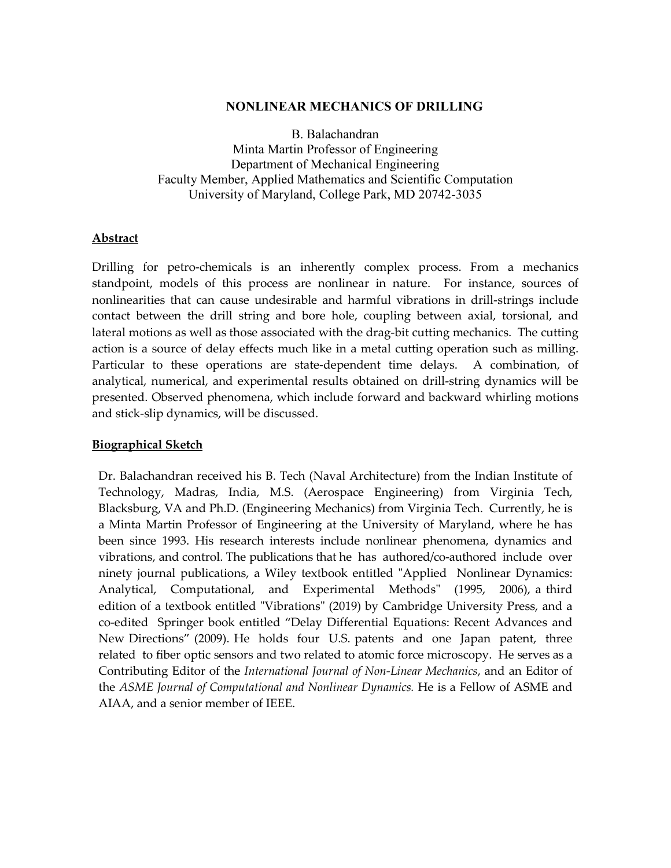## **NONLINEAR MECHANICS OF DRILLING**

B. Balachandran Minta Martin Professor of Engineering Department of Mechanical Engineering Faculty Member, Applied Mathematics and Scientific Computation University of Maryland, College Park, MD 20742-3035

## **Abstract**

Drilling for petro-chemicals is an inherently complex process. From a mechanics standpoint, models of this process are nonlinear in nature. For instance, sources of nonlinearities that can cause undesirable and harmful vibrations in drill-strings include contact between the drill string and bore hole, coupling between axial, torsional, and lateral motions as well as those associated with the drag-bit cutting mechanics. The cutting action is a source of delay effects much like in a metal cutting operation such as milling. Particular to these operations are state-dependent time delays. A combination, of analytical, numerical, and experimental results obtained on drill-string dynamics will be presented. Observed phenomena, which include forward and backward whirling motions and stick-slip dynamics, will be discussed.

## **Biographical Sketch**

Dr. Balachandran received his B. Tech (Naval Architecture) from the Indian Institute of Technology, Madras, India, M.S. (Aerospace Engineering) from Virginia Tech, Blacksburg, VA and Ph.D. (Engineering Mechanics) from Virginia Tech. Currently, he is a Minta Martin Professor of Engineering at the University of Maryland, where he has been since 1993. His research interests include nonlinear phenomena, dynamics and vibrations, and control. The publications that he has authored/co-authored include over ninety journal publications, a Wiley textbook entitled "Applied Nonlinear Dynamics: Analytical, Computational, and Experimental Methods" (1995, 2006), a third edition of a textbook entitled "Vibrations" (2019) by Cambridge University Press, and a co-edited Springer book entitled "Delay Differential Equations: Recent Advances and New Directions" (2009). He holds four U.S. patents and one Japan patent, three related to fiber optic sensors and two related to atomic force microscopy. He serves as a Contributing Editor of the *International Journal of Non-Linear Mechanics*, and an Editor of the *ASME Journal of Computational and Nonlinear Dynamics.* He is a Fellow of ASME and AIAA, and a senior member of IEEE.